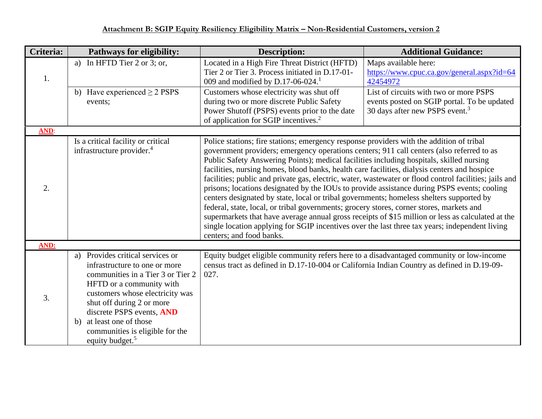| Criteria:   | Pathways for eligibility:                                                                                                                                                                                                                                                                                                        | <b>Description:</b>                                                                                                                                                                                                                                                                                                                                                                                                                                                                                                                                                                                                                                                                                                                                                                                                                                                                                                                                                                                                   | <b>Additional Guidance:</b>                                                                                                         |
|-------------|----------------------------------------------------------------------------------------------------------------------------------------------------------------------------------------------------------------------------------------------------------------------------------------------------------------------------------|-----------------------------------------------------------------------------------------------------------------------------------------------------------------------------------------------------------------------------------------------------------------------------------------------------------------------------------------------------------------------------------------------------------------------------------------------------------------------------------------------------------------------------------------------------------------------------------------------------------------------------------------------------------------------------------------------------------------------------------------------------------------------------------------------------------------------------------------------------------------------------------------------------------------------------------------------------------------------------------------------------------------------|-------------------------------------------------------------------------------------------------------------------------------------|
| 1.          | In HFTD Tier 2 or 3; or,<br>a)                                                                                                                                                                                                                                                                                                   | Located in a High Fire Threat District (HFTD)<br>Tier 2 or Tier 3. Process initiated in D.17-01-<br>009 and modified by D.17-06-024. <sup>1</sup>                                                                                                                                                                                                                                                                                                                                                                                                                                                                                                                                                                                                                                                                                                                                                                                                                                                                     | Maps available here:<br>https://www.cpuc.ca.gov/general.aspx?id=64<br>42454972                                                      |
|             | b) Have experienced $\geq$ 2 PSPS<br>events;                                                                                                                                                                                                                                                                                     | Customers whose electricity was shut off<br>during two or more discrete Public Safety<br>Power Shutoff (PSPS) events prior to the date<br>of application for SGIP incentives. <sup>2</sup>                                                                                                                                                                                                                                                                                                                                                                                                                                                                                                                                                                                                                                                                                                                                                                                                                            | List of circuits with two or more PSPS<br>events posted on SGIP portal. To be updated<br>30 days after new PSPS event. <sup>3</sup> |
| <b>AND:</b> |                                                                                                                                                                                                                                                                                                                                  |                                                                                                                                                                                                                                                                                                                                                                                                                                                                                                                                                                                                                                                                                                                                                                                                                                                                                                                                                                                                                       |                                                                                                                                     |
| 2.          | Is a critical facility or critical<br>infrastructure provider. <sup>4</sup>                                                                                                                                                                                                                                                      | Police stations; fire stations; emergency response providers with the addition of tribal<br>government providers; emergency operations centers; 911 call centers (also referred to as<br>Public Safety Answering Points); medical facilities including hospitals, skilled nursing<br>facilities, nursing homes, blood banks, health care facilities, dialysis centers and hospice<br>facilities; public and private gas, electric, water, wastewater or flood control facilities; jails and<br>prisons; locations designated by the IOUs to provide assistance during PSPS events; cooling<br>centers designated by state, local or tribal governments; homeless shelters supported by<br>federal, state, local, or tribal governments; grocery stores, corner stores, markets and<br>supermarkets that have average annual gross receipts of \$15 million or less as calculated at the<br>single location applying for SGIP incentives over the last three tax years; independent living<br>centers; and food banks. |                                                                                                                                     |
| AND:        |                                                                                                                                                                                                                                                                                                                                  |                                                                                                                                                                                                                                                                                                                                                                                                                                                                                                                                                                                                                                                                                                                                                                                                                                                                                                                                                                                                                       |                                                                                                                                     |
| 3.          | Provides critical services or<br>a)<br>infrastructure to one or more<br>communities in a Tier 3 or Tier 2<br>HFTD or a community with<br>customers whose electricity was<br>shut off during 2 or more<br>discrete PSPS events, AND<br>b) at least one of those<br>communities is eligible for the<br>equity budget. <sup>5</sup> | Equity budget eligible community refers here to a disadvantaged community or low-income<br>census tract as defined in D.17-10-004 or California Indian Country as defined in D.19-09-<br>027.                                                                                                                                                                                                                                                                                                                                                                                                                                                                                                                                                                                                                                                                                                                                                                                                                         |                                                                                                                                     |